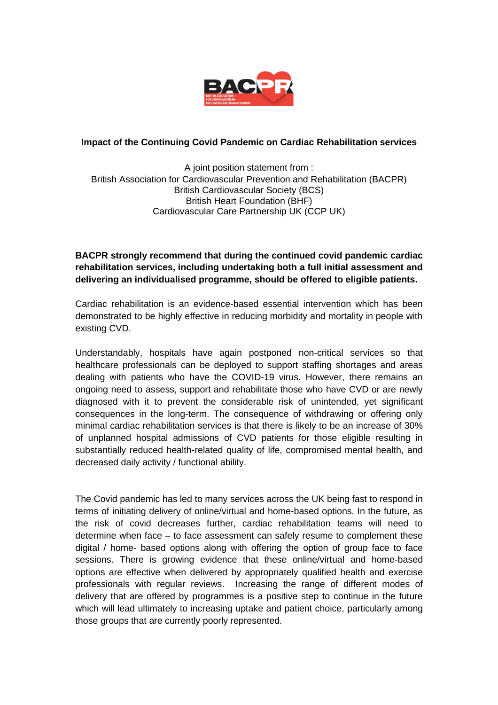

## **Impact of the Continuing Covid Pandemic on Cardiac Rehabilitation services**

A joint position statement from : British Association for Cardiovascular Prevention and Rehabilitation (BACPR) British Cardiovascular Society (BCS) British Heart Foundation (BHF) Cardiovascular Care Partnership UK (CCP UK)

## **BACPR strongly recommend that during the continued covid pandemic cardiac rehabilitation services, including undertaking both a full initial assessment and delivering an individualised programme, should be offered to eligible patients.**

Cardiac rehabilitation is an evidence-based essential intervention which has been demonstrated to be highly effective in reducing morbidity and mortality in people with existing CVD.

Understandably, hospitals have again postponed non-critical services so that healthcare professionals can be deployed to support staffing shortages and areas dealing with patients who have the COVID-19 virus. However, there remains an ongoing need to assess, support and rehabilitate those who have CVD or are newly diagnosed with it to prevent the considerable risk of unintended, yet significant consequences in the long-term. The consequence of withdrawing or offering only minimal cardiac rehabilitation services is that there is likely to be an increase of 30% of unplanned hospital admissions of CVD patients for those eligible resulting in substantially reduced health-related quality of life, compromised mental health, and decreased daily activity / functional ability.

The Covid pandemic has led to many services across the UK being fast to respond in terms of initiating delivery of online/virtual and home-based options. In the future, as the risk of covid decreases further, cardiac rehabilitation teams will need to determine when face – to face assessment can safely resume to complement these digital / home- based options along with offering the option of group face to face sessions. There is growing evidence that these online/virtual and home-based options are effective when delivered by appropriately qualified health and exercise professionals with regular reviews. Increasing the range of different modes of delivery that are offered by programmes is a positive step to continue in the future which will lead ultimately to increasing uptake and patient choice, particularly among those groups that are currently poorly represented.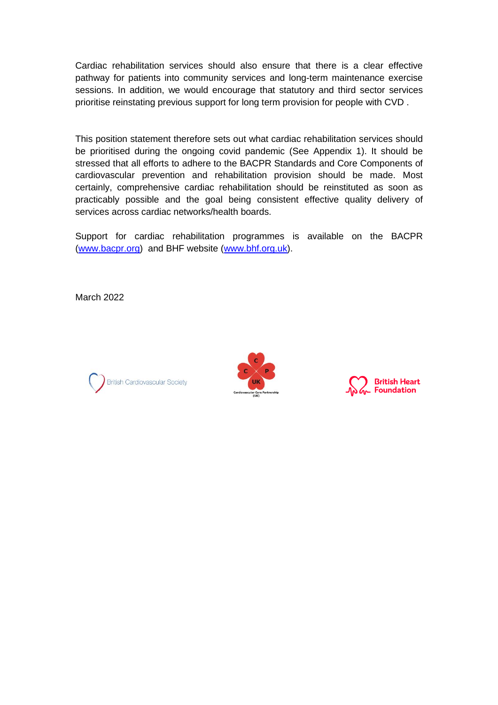Cardiac rehabilitation services should also ensure that there is a clear effective pathway for patients into community services and long-term maintenance exercise sessions. In addition, we would encourage that statutory and third sector services prioritise reinstating previous support for long term provision for people with CVD .

This position statement therefore sets out what cardiac rehabilitation services should be prioritised during the ongoing covid pandemic (See Appendix 1). It should be stressed that all efforts to adhere to the BACPR Standards and Core Components of cardiovascular prevention and rehabilitation provision should be made. Most certainly, comprehensive cardiac rehabilitation should be reinstituted as soon as practicably possible and the goal being consistent effective quality delivery of services across cardiac networks/health boards.

Support for cardiac rehabilitation programmes is available on the BACPR [\(www.bacpr.org\)](http://www.bacpr.org/) and BHF website [\(www.bhf.org.uk\)](http://www.bhf.org.uk/).

March 2022





**British Heart Foundation**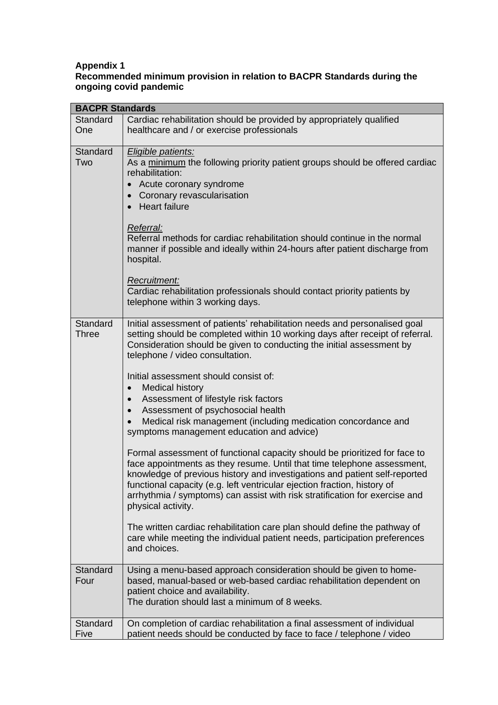## **Appendix 1 Recommended minimum provision in relation to BACPR Standards during the ongoing covid pandemic**

| <b>BACPR Standards</b>   |                                                                                                                                                                                                                                                                                                                                                                                                                                                                                                                                                                                                                                                                                                                                                                                                                                                                                                                                                                                                                                                                                                                                                                    |
|--------------------------|--------------------------------------------------------------------------------------------------------------------------------------------------------------------------------------------------------------------------------------------------------------------------------------------------------------------------------------------------------------------------------------------------------------------------------------------------------------------------------------------------------------------------------------------------------------------------------------------------------------------------------------------------------------------------------------------------------------------------------------------------------------------------------------------------------------------------------------------------------------------------------------------------------------------------------------------------------------------------------------------------------------------------------------------------------------------------------------------------------------------------------------------------------------------|
| Standard<br>One          | Cardiac rehabilitation should be provided by appropriately qualified<br>healthcare and / or exercise professionals                                                                                                                                                                                                                                                                                                                                                                                                                                                                                                                                                                                                                                                                                                                                                                                                                                                                                                                                                                                                                                                 |
| Standard<br>Two          | Eligible patients:<br>As a minimum the following priority patient groups should be offered cardiac<br>rehabilitation:<br>Acute coronary syndrome<br>Coronary revascularisation<br>• Heart failure<br>Referral:<br>Referral methods for cardiac rehabilitation should continue in the normal<br>manner if possible and ideally within 24-hours after patient discharge from<br>hospital.<br>Recruitment:<br>Cardiac rehabilitation professionals should contact priority patients by<br>telephone within 3 working days.                                                                                                                                                                                                                                                                                                                                                                                                                                                                                                                                                                                                                                            |
| Standard<br><b>Three</b> | Initial assessment of patients' rehabilitation needs and personalised goal<br>setting should be completed within 10 working days after receipt of referral.<br>Consideration should be given to conducting the initial assessment by<br>telephone / video consultation.<br>Initial assessment should consist of:<br><b>Medical history</b><br>$\bullet$<br>Assessment of lifestyle risk factors<br>$\bullet$<br>Assessment of psychosocial health<br>Medical risk management (including medication concordance and<br>symptoms management education and advice)<br>Formal assessment of functional capacity should be prioritized for face to<br>face appointments as they resume. Until that time telephone assessment,<br>knowledge of previous history and investigations and patient self-reported<br>functional capacity (e.g. left ventricular ejection fraction, history of<br>arrhythmia / symptoms) can assist with risk stratification for exercise and<br>physical activity.<br>The written cardiac rehabilitation care plan should define the pathway of<br>care while meeting the individual patient needs, participation preferences<br>and choices. |
| <b>Standard</b><br>Four  | Using a menu-based approach consideration should be given to home-<br>based, manual-based or web-based cardiac rehabilitation dependent on<br>patient choice and availability.<br>The duration should last a minimum of 8 weeks.                                                                                                                                                                                                                                                                                                                                                                                                                                                                                                                                                                                                                                                                                                                                                                                                                                                                                                                                   |
| Standard<br>Five         | On completion of cardiac rehabilitation a final assessment of individual<br>patient needs should be conducted by face to face / telephone / video                                                                                                                                                                                                                                                                                                                                                                                                                                                                                                                                                                                                                                                                                                                                                                                                                                                                                                                                                                                                                  |